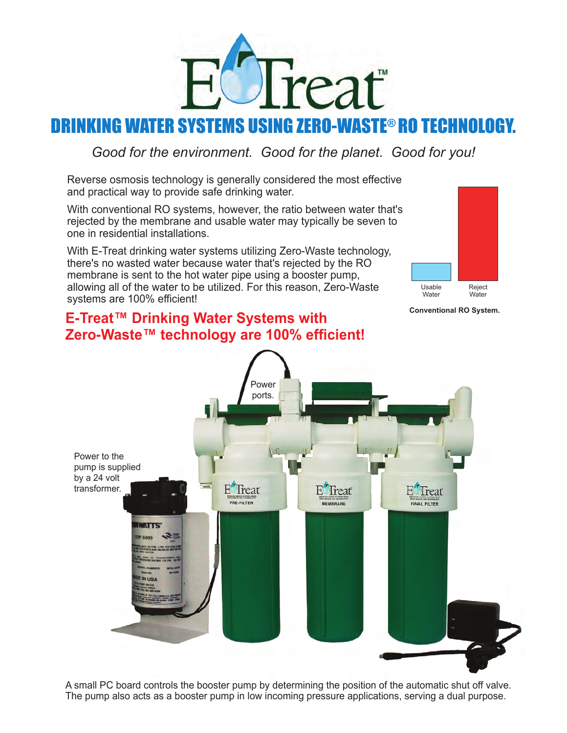

# KING WATER SYSTEMS USING ZERO-WASTE® RO TECHNOL

*Good for the environment. Good for the planet. Good for you!*

Reverse osmosis technology is generally considered the most effective and practical way to provide safe drinking water.

With conventional RO systems, however, the ratio between water that's rejected by the membrane and usable water may typically be seven to one in residential installations.

With E-Treat drinking water systems utilizing Zero-Waste technology, there's no wasted water because water that's rejected by the RO membrane is sent to the hot water pipe using a booster pump, allowing all of the water to be utilized. For this reason, Zero-Waste systems are 100% efficient!

## **E-Treat™ Drinking Water Systems with Zero-Waste™ technology are 100% efficient!**



**Conventional RO System.** 



A small PC board controls the booster pump by determining the position of the automatic shut off valve. The pump also acts as a booster pump in low incoming pressure applications, serving a dual purpose.